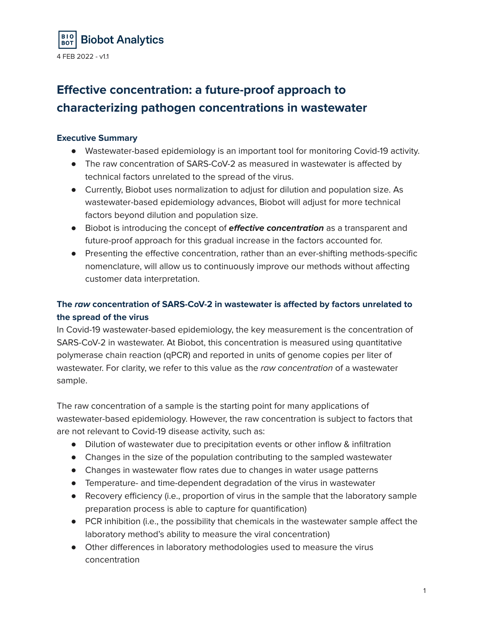

# **Effective concentration: a future-proof approach to characterizing pathogen concentrations in wastewater**

### **Executive Summary**

- Wastewater-based epidemiology is an important tool for monitoring Covid-19 activity.
- The raw concentration of SARS-CoV-2 as measured in wastewater is affected by technical factors unrelated to the spread of the virus.
- Currently, Biobot uses normalization to adjust for dilution and population size. As wastewater-based epidemiology advances, Biobot will adjust for more technical factors beyond dilution and population size.
- Biobot is introducing the concept of **effective concentration** as a transparent and future-proof approach for this gradual increase in the factors accounted for.
- Presenting the effective concentration, rather than an ever-shifting methods-specific nomenclature, will allow us to continuously improve our methods without affecting customer data interpretation.

## **The raw concentration of SARS-CoV-2 in wastewater is affected by factors unrelated to the spread of the virus**

In Covid-19 wastewater-based epidemiology, the key measurement is the concentration of SARS-CoV-2 in wastewater. At Biobot, this concentration is measured using quantitative polymerase chain reaction (qPCR) and reported in units of genome copies per liter of wastewater. For clarity, we refer to this value as the raw concentration of a wastewater sample.

The raw concentration of a sample is the starting point for many applications of wastewater-based epidemiology. However, the raw concentration is subject to factors that are not relevant to Covid-19 disease activity, such as:

- Dilution of wastewater due to precipitation events or other inflow & infiltration
- Changes in the size of the population contributing to the sampled wastewater
- Changes in wastewater flow rates due to changes in water usage patterns
- Temperature- and time-dependent degradation of the virus in wastewater
- Recovery efficiency (i.e., proportion of virus in the sample that the laboratory sample preparation process is able to capture for quantification)
- PCR inhibition (i.e., the possibility that chemicals in the wastewater sample affect the laboratory method's ability to measure the viral concentration)
- Other differences in laboratory methodologies used to measure the virus concentration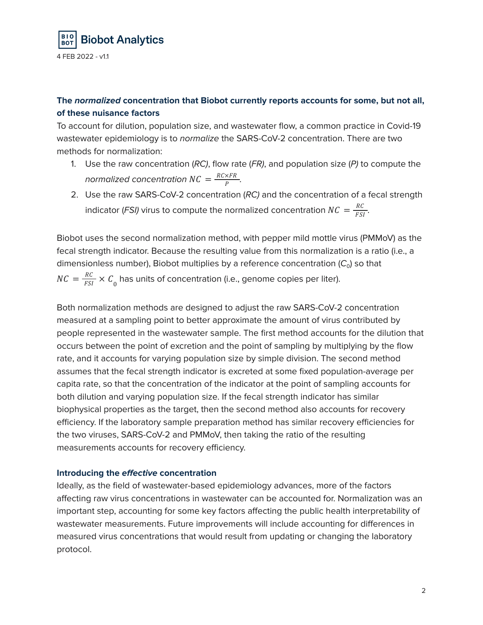

## **The normalized concentration that Biobot currently reports accounts for some, but not all, of these nuisance factors**

To account for dilution, population size, and wastewater flow, a common practice in Covid-19 wastewater epidemiology is to normalize the SARS-CoV-2 concentration. There are two methods for normalization:

- 1. Use the raw concentration (RC), flow rate (FR), and population size (P) to compute the normalized concentration  $NC = \frac{RC \times FR}{R}$ . Ρ
- 2. Use the raw SARS-CoV-2 concentration (RC) and the concentration of a fecal strength indicator (FSI) virus to compute the normalized concentration  $NC = \frac{RC}{FCI}$ . FSI

Biobot uses the second normalization method, with pepper mild mottle virus (PMMoV) as the fecal strength indicator. Because the resulting value from this normalization is a ratio (i.e., a dimensionless number), Biobot multiplies by a reference concentration  $(C_0)$  so that  $NC = \frac{RC}{FSI} \times C_0$  has units of concentration (i.e., genome copies per liter).

Both normalization methods are designed to adjust the raw SARS-CoV-2 concentration measured at a sampling point to better approximate the amount of virus contributed by people represented in the wastewater sample. The first method accounts for the dilution that occurs between the point of excretion and the point of sampling by multiplying by the flow rate, and it accounts for varying population size by simple division. The second method assumes that the fecal strength indicator is excreted at some fixed population-average per capita rate, so that the concentration of the indicator at the point of sampling accounts for both dilution and varying population size. If the fecal strength indicator has similar biophysical properties as the target, then the second method also accounts for recovery efficiency. If the laboratory sample preparation method has similar recovery efficiencies for the two viruses, SARS-CoV-2 and PMMoV, then taking the ratio of the resulting measurements accounts for recovery efficiency.

#### **Introducing the effective concentration**

Ideally, as the field of wastewater-based epidemiology advances, more of the factors affecting raw virus concentrations in wastewater can be accounted for. Normalization was an important step, accounting for some key factors affecting the public health interpretability of wastewater measurements. Future improvements will include accounting for differences in measured virus concentrations that would result from updating or changing the laboratory protocol.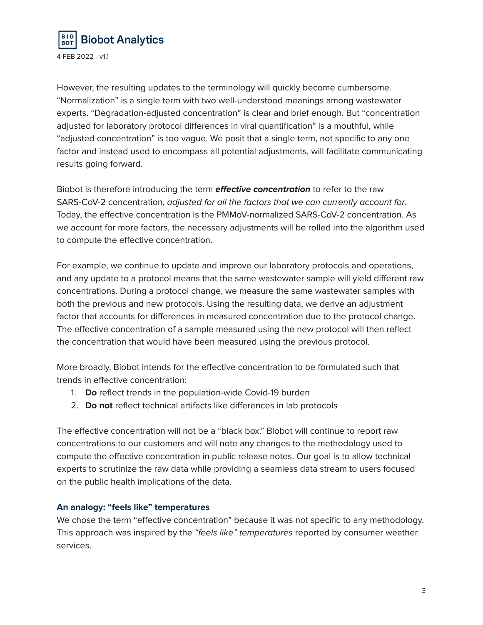

However, the resulting updates to the terminology will quickly become cumbersome. "Normalization" is a single term with two well-understood meanings among wastewater experts. "Degradation-adjusted concentration" is clear and brief enough. But "concentration adjusted for laboratory protocol differences in viral quantification" is a mouthful, while "adjusted concentration" is too vague. We posit that a single term, not specific to any one factor and instead used to encompass all potential adjustments, will facilitate communicating results going forward.

Biobot is therefore introducing the term **effective concentration** to refer to the raw SARS-CoV-2 concentration, adjusted for all the factors that we can currently account for. Today, the effective concentration is the PMMoV-normalized SARS-CoV-2 concentration. As we account for more factors, the necessary adjustments will be rolled into the algorithm used to compute the effective concentration.

For example, we continue to update and improve our laboratory protocols and operations, and any update to a protocol means that the same wastewater sample will yield different raw concentrations. During a protocol change, we measure the same wastewater samples with both the previous and new protocols. Using the resulting data, we derive an adjustment factor that accounts for differences in measured concentration due to the protocol change. The effective concentration of a sample measured using the new protocol will then reflect the concentration that would have been measured using the previous protocol.

More broadly, Biobot intends for the effective concentration to be formulated such that trends in effective concentration:

- 1. **Do** reflect trends in the population-wide Covid-19 burden
- 2. **Do not** reflect technical artifacts like differences in lab protocols

The effective concentration will not be a "black box." Biobot will continue to report raw concentrations to our customers and will note any changes to the methodology used to compute the effective concentration in public release notes. Our goal is to allow technical experts to scrutinize the raw data while providing a seamless data stream to users focused on the public health implications of the data.

#### **An analogy: "feels like" temperatures**

We chose the term "effective concentration" because it was not specific to any methodology. This approach was inspired by the "feels like" temperatures reported by consumer weather services.